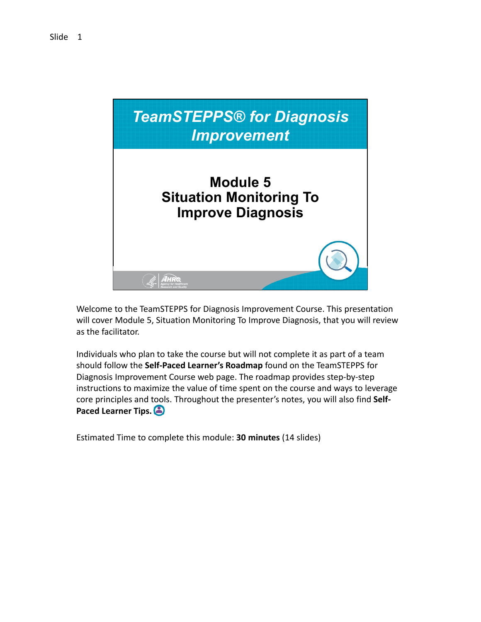

 Welcome to the TeamSTEPPS for Diagnosis Improvement Course. This presentation will cover Module 5, Situation Monitoring To Improve Diagnosis, that you will review as the facilitator.

 Individuals who plan to take the course but will not complete it as part of a team  should follow the **Self‐Paced Learner's Roadmap** found on the TeamSTEPPS for Diagnosis Improvement Course web page. The roadmap provides step‐by‐step instructions to maximize the value of time spent on the course and ways to leverage core principles and tools. Throughout the presenter's notes, you will also find **Self‐ Paced Learner Tips.**

 Estimated Time to complete this module: **30 minutes** (14 slides)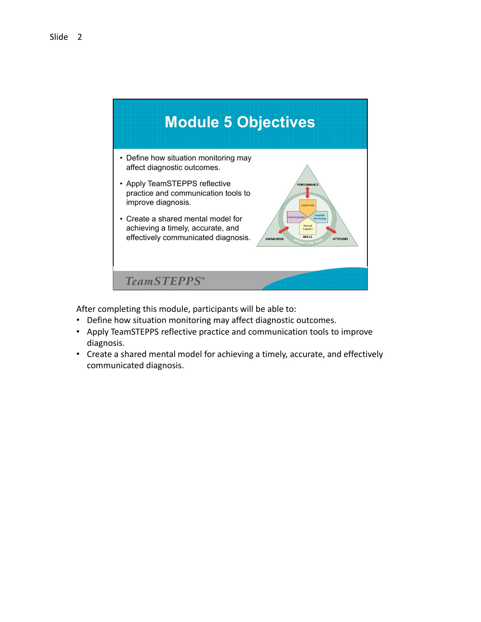

After completing this module, participants will be able to:

- Define how situation monitoring may affect diagnostic outcomes.
- Apply TeamSTEPPS reflective practice and communication tools to improve diagnosis.
- Create a shared mental model for achieving a timely, accurate, and effectively communicated diagnosis.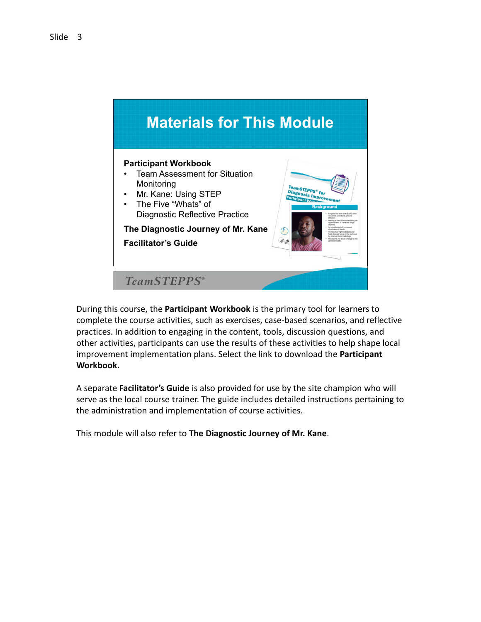

 During this course, the **Participant Workbook** is the primary tool for learners to complete the course activities, such as exercises, case‐based scenarios, and reflective practices. In addition to engaging in the content, tools, discussion questions, and other activities, participants can use the results of these activities to help shape local improvement implementation plans. Select the link to download the **Participant Workbook.**

 A separate **Facilitator's Guide** is also provided for use by the site champion who will serve as the local course trainer. The guide includes detailed instructions pertaining to the administration and implementation of course activities.

 This module will also refer to **The Diagnostic Journey of Mr. Kane**.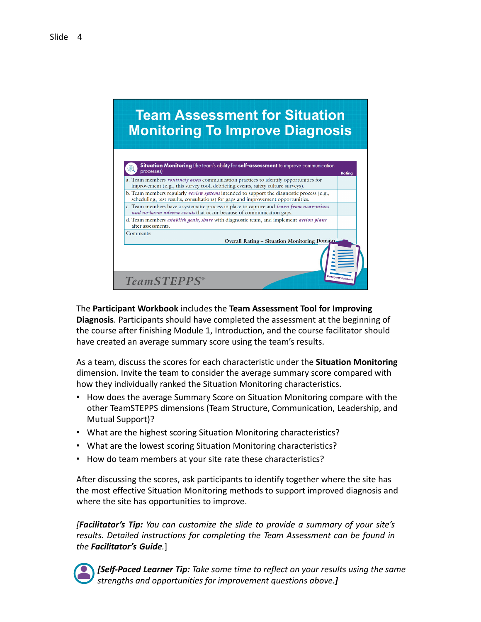# **Team Assessment for Situation Monitoring To Improve Diagnosis**



 The **Participant Workbook** includes the **Team Assessment Tool for Improving Diagnosis**. Participants should have completed the assessment at the beginning of the course after finishing Module 1, Introduction, and the course facilitator should have created an average summary score using the team's results.

  As a team, discuss the scores for each characteristic under the **Situation Monitoring** dimension. Invite the team to consider the average summary score compared with how they individually ranked the Situation Monitoring characteristics.

- How does the average Summary Score on Situation Monitoring compare with the other TeamSTEPPS dimensions (Team Structure, Communication, Leadership, and Mutual Support)?
- What are the highest scoring Situation Monitoring characteristics?
- What are the lowest scoring Situation Monitoring characteristics?
- How do team members at your site rate these characteristics?

 After discussing the scores, ask participants to identify together where the site has the most effective Situation Monitoring methods to support improved diagnosis and where the site has opportunities to improve.

*[Facilitator's Tip: You can customize the slide to provide a summary of your site's results. Detailed instructions for completing the Team Assessment can be found in the Facilitator's Guide.*]



[Self-Paced Learner Tip: Take some time to reflect on your results using the same  *strengths and opportunities for improvement questions above.]*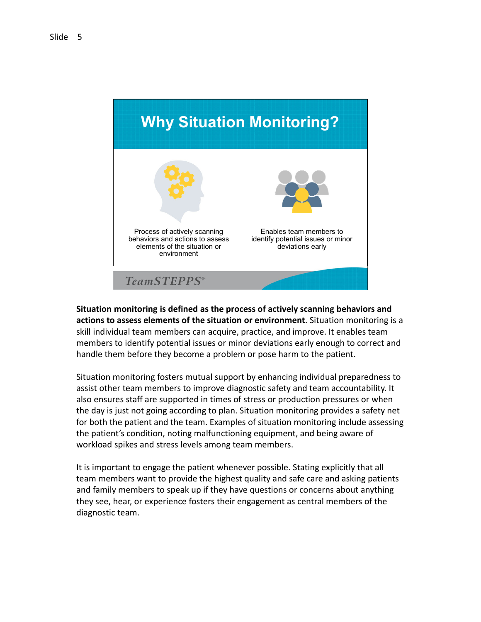

 **Situation monitoring is defined as the process of actively scanning behaviors and actions to assess elements of the situation or environment**. Situation monitoring is a skill individual team members can acquire, practice, and improve. It enables team members to identify potential issues or minor deviations early enough to correct and handle them before they become a problem or pose harm to the patient.

 Situation monitoring fosters mutual support by enhancing individual preparedness to assist other team members to improve diagnostic safety and team accountability. It also ensures staff are supported in times of stress or production pressures or when the day is just not going according to plan. Situation monitoring provides a safety net for both the patient and the team. Examples of situation monitoring include assessing the patient's condition, noting malfunctioning equipment, and being aware of workload spikes and stress levels among team members.

 It is important to engage the patient whenever possible. Stating explicitly that all team members want to provide the highest quality and safe care and asking patients and family members to speak up if they have questions or concerns about anything they see, hear, or experience fosters their engagement as central members of the diagnostic team.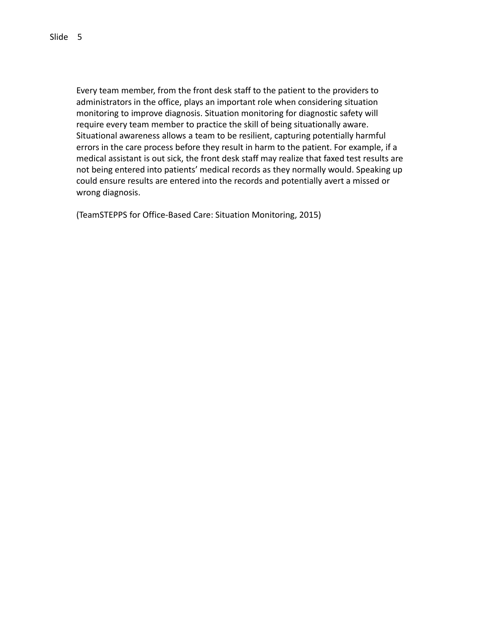Every team member, from the front desk staff to the patient to the providers to administrators in the office, plays an important role when considering situation monitoring to improve diagnosis. Situation monitoring for diagnostic safety will require every team member to practice the skill of being situationally aware. Situational awareness allows a team to be resilient, capturing potentially harmful errors in the care process before they result in harm to the patient. For example, if a medical assistant is out sick, the front desk staff may realize that faxed test results are not being entered into patients' medical records as they normally would. Speaking up could ensure results are entered into the records and potentially avert a missed or wrong diagnosis.

(TeamSTEPPS for Office‐Based Care: Situation Monitoring, 2015)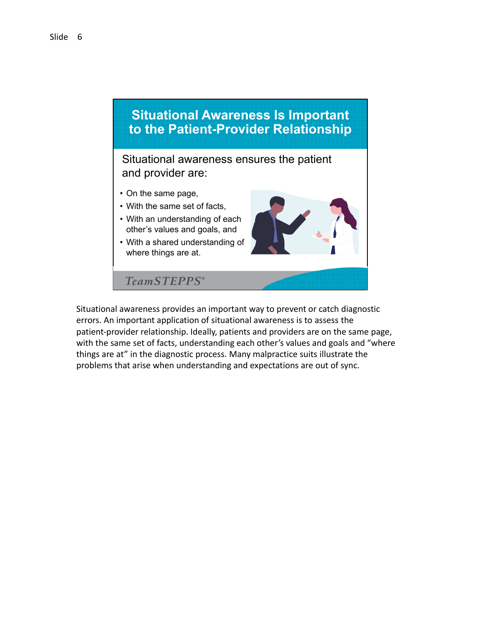

 Situational awareness provides an important way to prevent or catch diagnostic errors. An important application of situational awareness is to assess the patient‐provider relationship. Ideally, patients and providers are on the same page, with the same set of facts, understanding each other's values and goals and "where things are at" in the diagnostic process. Many malpractice suits illustrate the problems that arise when understanding and expectations are out of sync.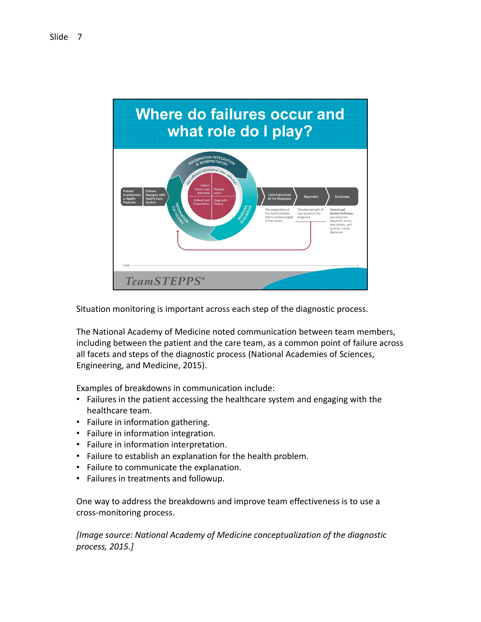

Situation monitoring is important across each step of the diagnostic process.

 The National Academy of Medicine noted communication between team members, including between the patient and the care team, as a common point of failure across all facets and steps of the diagnostic process (National Academies of Sciences, Engineering, and Medicine, 2015).

Examples of breakdowns in communication include:

- Failures in the patient accessing the healthcare system and engaging with the healthcare team.
- Failure in information gathering.
- Failure in information integration.
- Failure in information interpretation.
- Failure to establish an explanation for the health problem.
- Failure to communicate the explanation.
- Failures in treatments and followup.

 One way to address the breakdowns and improve team effectiveness is to use a cross‐monitoring process.

 *[Image source: National Academy of Medicine conceptualization of the diagnostic process, 2015.]*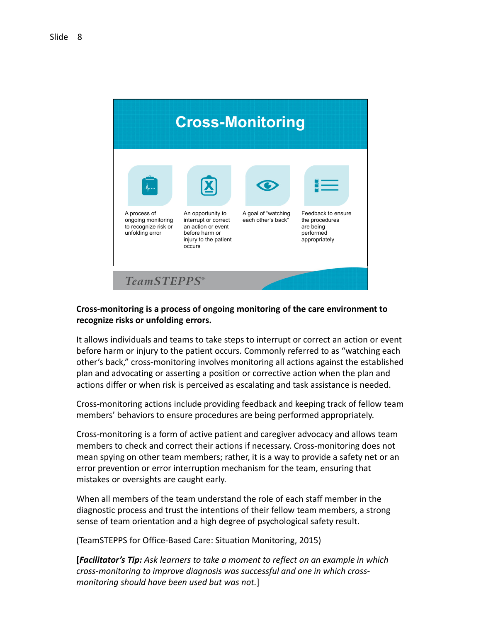

## **Cross‐monitoring is a process of ongoing monitoring of the care environment to recognize risks or unfolding errors.**

It allows individuals and teams to take steps to interrupt or correct an action or event before harm or injury to the patient occurs. Commonly referred to as "watching each other's back," cross-monitoring involves monitoring all actions against the established plan and advocating or asserting a position or corrective action when the plan and actions differ or when risk is perceived as escalating and task assistance is needed.

Cross‐monitoring actions include providing feedback and keeping track of fellow team members' behaviors to ensure procedures are being performed appropriately.

Cross‐monitoring is a form of active patient and caregiver advocacy and allows team members to check and correct their actions if necessary. Cross-monitoring does not mean spying on other team members; rather, it is a way to provide a safety net or an error prevention or error interruption mechanism for the team, ensuring that mistakes or oversights are caught early.

When all members of the team understand the role of each staff member in the diagnostic process and trust the intentions of their fellow team members, a strong sense of team orientation and a high degree of psychological safety result.

(TeamSTEPPS for Office‐Based Care: Situation Monitoring, 2015)

**[***Facilitator's Tip: Ask learners to take a moment to reflect on an example in which cross‐monitoring to improve diagnosis was successful and one in which cross‐ monitoring should have been used but was not.*]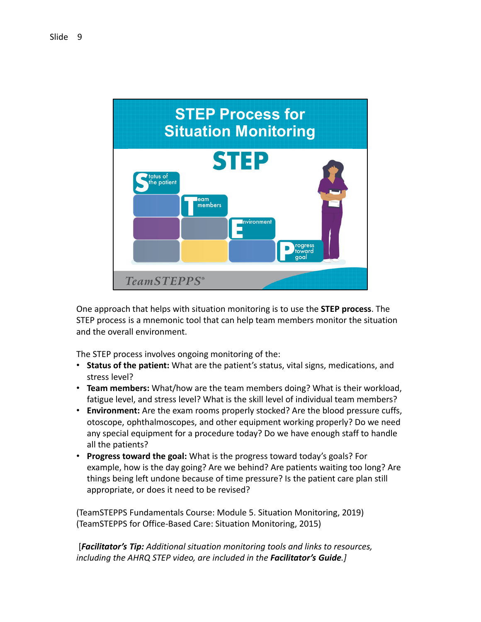

 One approach that helps with situation monitoring is to use the **STEP process**. The STEP process is a mnemonic tool that can help team members monitor the situation and the overall environment.

The STEP process involves ongoing monitoring of the:

- **Status of the patient:** What are the patient's status, vital signs, medications, and stress level?
- • **Team members:** What/how are the team members doing? What is their workload, fatigue level, and stress level? What is the skill level of individual team members?
- **Environment:** Are the exam rooms properly stocked? Are the blood pressure cuffs, otoscope, ophthalmoscopes, and other equipment working properly? Do we need any special equipment for a procedure today? Do we have enough staff to handle all the patients?
- • **Progress toward the goal:** What is the progress toward today's goals? For example, how is the day going? Are we behind? Are patients waiting too long? Are things being left undone because of time pressure? Is the patient care plan still appropriate, or does it need to be revised?

 (TeamSTEPPS Fundamentals Course: Module 5. Situation Monitoring, 2019) (TeamSTEPPS for Office‐Based Care: Situation Monitoring, 2015)

 [*Facilitator's Tip: Additional situation monitoring tools and links to resources, including the AHRQ STEP video, are included in the Facilitator's Guide.]*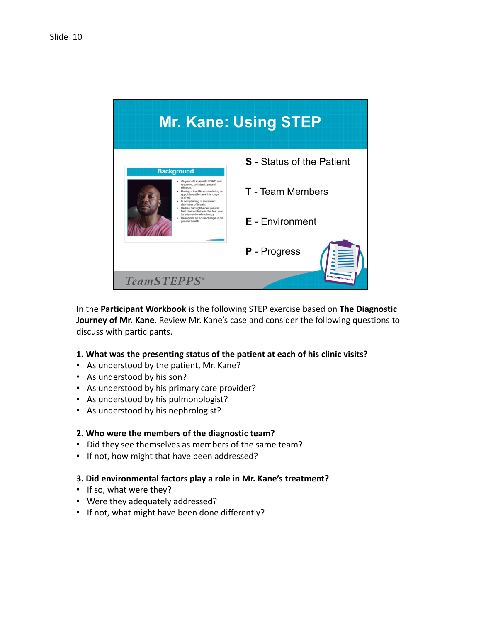

  In the **Participant Workbook** is the following STEP exercise based on **The Diagnostic Journey of Mr. Kane**. Review Mr. Kane's case and consider the following questions to discuss with participants.

#### **1. What was the presenting status of the patient at each of his clinic visits?**

- As understood by the patient, Mr. Kane?
- As understood by his son?
- As understood by his primary care provider?
- As understood by his pulmonologist?
- As understood by his nephrologist?

#### **2. Who were the members of the diagnostic team?**

- Did they see themselves as members of the same team?
- If not, how might that have been addressed?

#### **3. Did environmental factors play a role in Mr. Kane's treatment?**

- If so, what were they?
- Were they adequately addressed?
- If not, what might have been done differently?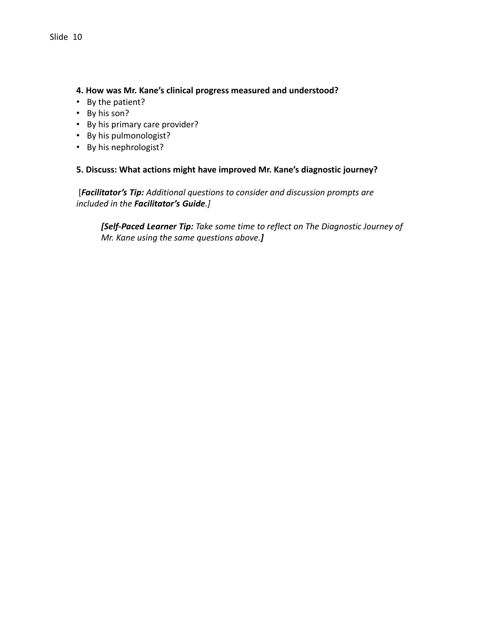## **4. How was Mr. Kane's clinical progress measured and understood?**

- By the patient?
- By his son?
- By his primary care provider?
- By his pulmonologist?
- By his nephrologist?

## **5. Discuss: What actions might have improved Mr. Kane's diagnostic journey?**

 [*Facilitator's Tip: Additional questions to consider and discussion prompts are included in the Facilitator's Guide.]*

 *[Self‐Paced Learner Tip: Take some time to reflect on The Diagnostic Journey of Mr. Kane using the same questions above.]*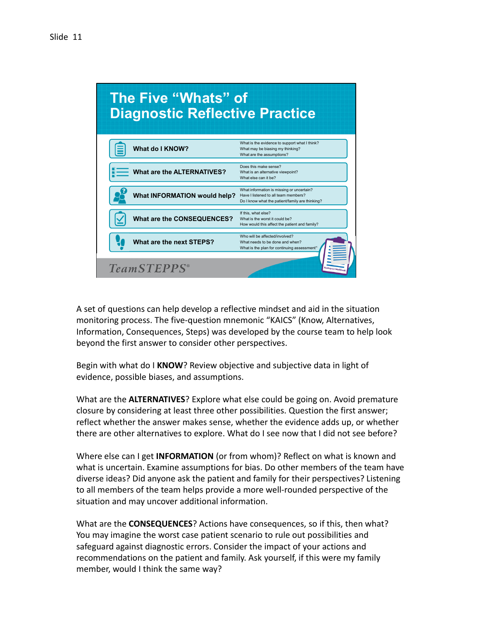

 A set of questions can help develop a reflective mindset and aid in the situation monitoring process. The five‐question mnemonic "KAICS" (Know, Alternatives, Information, Consequences, Steps) was developed by the course team to help look beyond the first answer to consider other perspectives.

 Begin with what do I **KNOW**? Review objective and subjective data in light of evidence, possible biases, and assumptions.

 What are the **ALTERNATIVES**? Explore what else could be going on. Avoid premature closure by considering at least three other possibilities. Question the first answer; reflect whether the answer makes sense, whether the evidence adds up, or whether there are other alternatives to explore. What do I see now that I did not see before?

 Where else can I get **INFORMATION** (or from whom)? Reflect on what is known and what is uncertain. Examine assumptions for bias. Do other members of the team have diverse ideas? Did anyone ask the patient and family for their perspectives? Listening to all members of the team helps provide a more well‐rounded perspective of the situation and may uncover additional information.

 What are the **CONSEQUENCES**? Actions have consequences, so if this, then what? You may imagine the worst case patient scenario to rule out possibilities and safeguard against diagnostic errors. Consider the impact of your actions and recommendations on the patient and family. Ask yourself, if this were my family member, would I think the same way?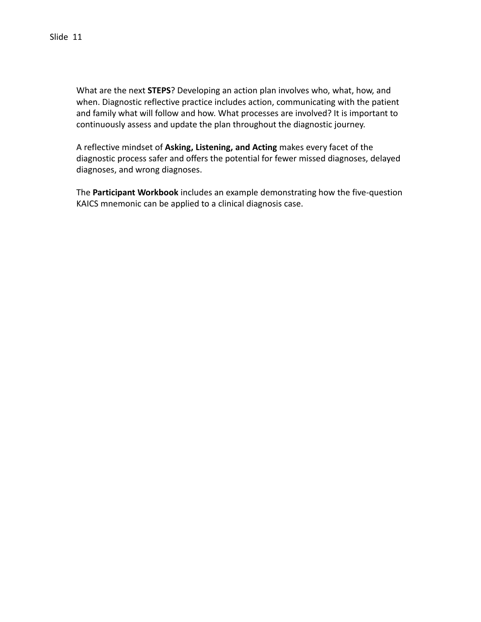What are the next **STEPS**? Developing an action plan involves who, what, how, and when. Diagnostic reflective practice includes action, communicating with the patient and family what will follow and how. What processes are involved? It is important to continuously assess and update the plan throughout the diagnostic journey.

  A reflective mindset of **Asking, Listening, and Acting** makes every facet of the diagnostic process safer and offers the potential for fewer missed diagnoses, delayed diagnoses, and wrong diagnoses.

 The **Participant Workbook** includes an example demonstrating how the five‐question KAICS mnemonic can be applied to a clinical diagnosis case.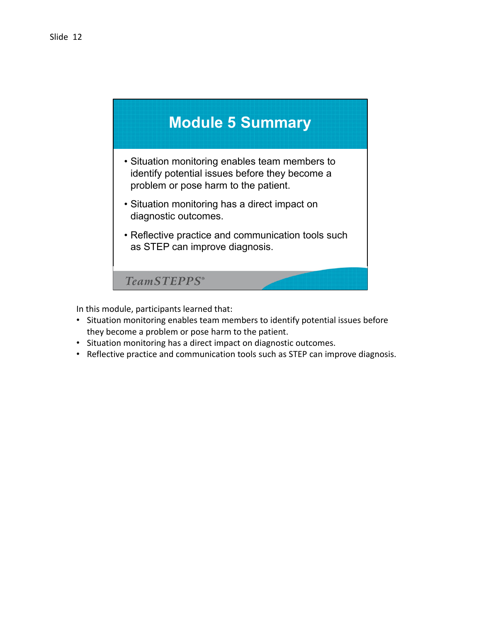

In this module, participants learned that:

- • Situation monitoring enables team members to identify potential issues before they become a problem or pose harm to the patient.
- Situation monitoring has a direct impact on diagnostic outcomes.
- Reflective practice and communication tools such as STEP can improve diagnosis.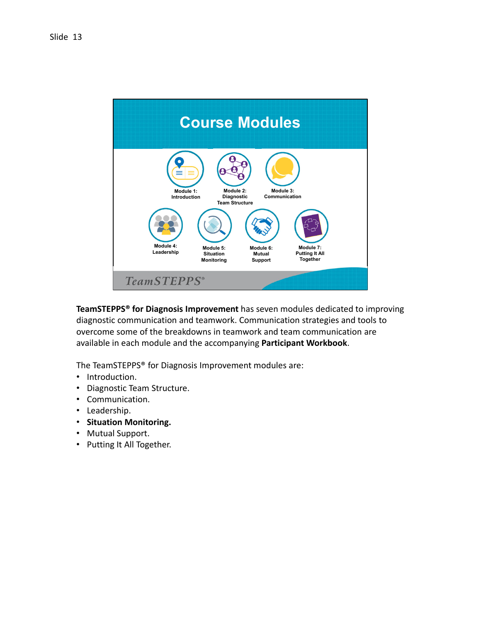

 **TeamSTEPPS® for Diagnosis Improvement** has seven modules dedicated to improving diagnostic communication and teamwork. Communication strategies and tools to overcome some of the breakdowns in teamwork and team communication are available in each module and the accompanying **Participant Workbook**.

The TeamSTEPPS® for Diagnosis Improvement modules are:

- Introduction.
- Diagnostic Team Structure.
- Communication.
- Leadership.
- **Situation Monitoring.**
- Mutual Support.
- Putting It All Together.